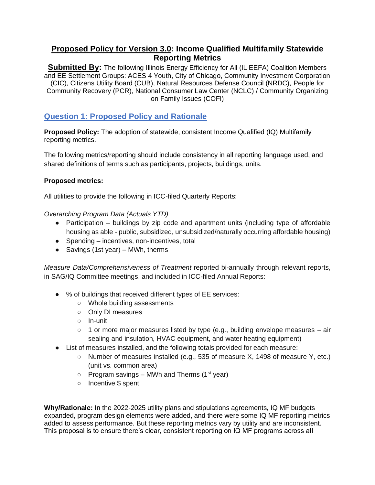# **Proposed Policy for Version 3.0: Income Qualified Multifamily Statewide Reporting Metrics**

**Submitted By:** The following Illinois Energy Efficiency for All (IL EEFA) Coalition Members and EE Settlement Groups: ACES 4 Youth, City of Chicago, Community Investment Corporation (CIC), Citizens Utility Board (CUB), Natural Resources Defense Council (NRDC), People for Community Recovery (PCR), National Consumer Law Center (NCLC) / Community Organizing on Family Issues (COFI)

# **Question 1: Proposed Policy and Rationale**

**Proposed Policy:** The adoption of statewide, consistent Income Qualified (IQ) Multifamily reporting metrics.

The following metrics/reporting should include consistency in all reporting language used, and shared definitions of terms such as participants, projects, buildings, units.

### **Proposed metrics:**

All utilities to provide the following in ICC-filed Quarterly Reports:

*Overarching Program Data (Actuals YTD)*

- Participation buildings by zip code and apartment units (including type of affordable housing as able - public, subsidized, unsubsidized/naturally occurring affordable housing)
- Spending incentives, non-incentives, total
- Savings (1st year) MWh, therms

*Measure Data/Comprehensiveness of Treatment* reported bi-annually through relevant reports, in SAG/IQ Committee meetings, and included in ICC-filed Annual Reports:

- % of buildings that received different types of EE services:
	- Whole building assessments
	- Only DI measures
	- In-unit
	- 1 or more major measures listed by type (e.g., building envelope measures air sealing and insulation, HVAC equipment, and water heating equipment)
- List of measures installed, and the following totals provided for each measure:
	- Number of measures installed (e.g., 535 of measure X, 1498 of measure Y, etc.) (unit vs. common area)
	- $\circ$  Program savings MWh and Therms (1<sup>st</sup> year)
	- Incentive \$ spent

**Why/Rationale:** In the 2022-2025 utility plans and stipulations agreements, IQ MF budgets expanded, program design elements were added, and there were some IQ MF reporting metrics added to assess performance. But these reporting metrics vary by utility and are inconsistent. This proposal is to ensure there's clear, consistent reporting on IQ MF programs across all